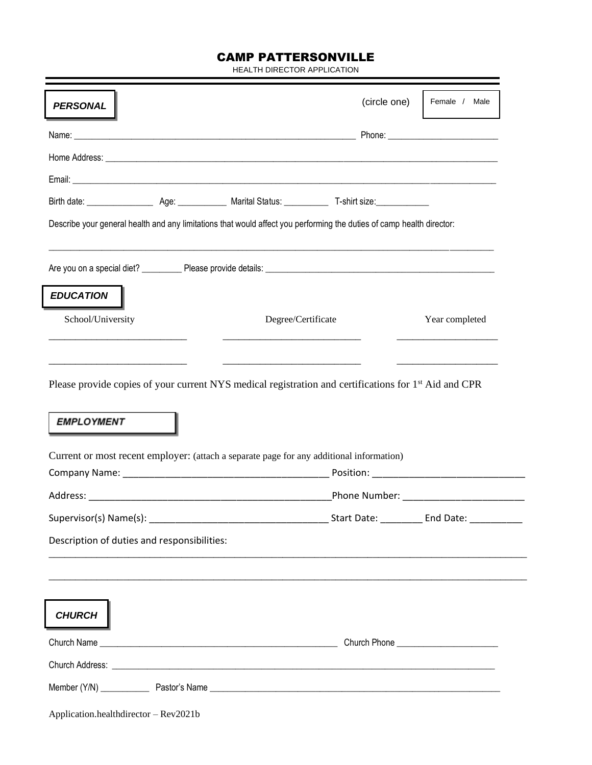## CAMP PATTERSONVILLE

HEALTH DIRECTOR APPLICATION

| <b>PERSONAL</b>                                                                                                                        | (circle one)                                                                                                          | Female / Male         |
|----------------------------------------------------------------------------------------------------------------------------------------|-----------------------------------------------------------------------------------------------------------------------|-----------------------|
|                                                                                                                                        |                                                                                                                       |                       |
|                                                                                                                                        |                                                                                                                       |                       |
|                                                                                                                                        |                                                                                                                       |                       |
|                                                                                                                                        |                                                                                                                       |                       |
| Describe your general health and any limitations that would affect you performing the duties of camp health director:                  |                                                                                                                       |                       |
|                                                                                                                                        |                                                                                                                       |                       |
| <b>EDUCATION</b>                                                                                                                       |                                                                                                                       |                       |
| School/University                                                                                                                      | Degree/Certificate                                                                                                    | Year completed        |
| Please provide copies of your current NYS medical registration and certifications for 1 <sup>st</sup> Aid and CPR<br><b>EMPLOYMENT</b> |                                                                                                                       |                       |
| Current or most recent employer: (attach a separate page for any additional information)                                               |                                                                                                                       |                       |
|                                                                                                                                        |                                                                                                                       |                       |
|                                                                                                                                        |                                                                                                                       |                       |
| Supervisor(s) Name(s):<br>Description of duties and responsibilities:                                                                  |                                                                                                                       | Start Date: End Date: |
|                                                                                                                                        | <u> 1989 - Johann Stoff, deutscher Stoff, der Stoff, der Stoff, der Stoff, der Stoff, der Stoff, der Stoff, der S</u> |                       |
|                                                                                                                                        |                                                                                                                       |                       |
| CHURCH                                                                                                                                 |                                                                                                                       |                       |
|                                                                                                                                        |                                                                                                                       |                       |
|                                                                                                                                        |                                                                                                                       |                       |